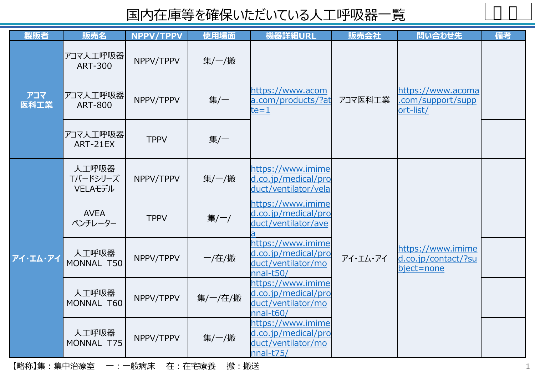| 製販者         | 販売名                          | NPPV/TPPV   | 使用場面    | 機器詳細URL                                                                     | 販売会社     | 問い合わせ先                                                 | 備考 |
|-------------|------------------------------|-------------|---------|-----------------------------------------------------------------------------|----------|--------------------------------------------------------|----|
|             | アコマ人工呼吸器<br><b>ART-300</b>   | NPPV/TPPV   | 集/一/搬   |                                                                             |          | https://www.acoma<br>.com/support/supp<br>ort-list/    |    |
| アコマ<br>医科工業 | アコマ人工呼吸器<br><b>ART-800</b>   | NPPV/TPPV   | 集/一     | https://www.acom<br>a.com/products/?at<br>$te = 1$                          | アコマ医科工業  |                                                        |    |
|             | アコマ人工呼吸器<br>ART-21EX         | <b>TPPV</b> | 集/一     |                                                                             |          |                                                        |    |
| アイ・エム・アイ    | 人工呼吸器<br>Tバードシリーズ<br>VELAモデル | NPPV/TPPV   | 集/一/搬   | https://www.imime<br>d.co.jp/medical/pro<br>duct/ventilator/vela            | アイ・エム・アイ | https://www.imime<br>d.co.jp/contact/?su<br>bject=none |    |
|             | <b>AVEA</b><br>ベンチレーター       | <b>TPPV</b> | 集/一/    | https://www.imime<br>d.co.jp/medical/pro<br>duct/ventilator/ave             |          |                                                        |    |
|             | 人工呼吸器<br>MONNAL T50          | NPPV/TPPV   | 一/在/搬   | https://www.imime<br>d.co.jp/medical/pro<br>duct/ventilator/mo<br>nnal-t50/ |          |                                                        |    |
|             | 人工呼吸器<br>MONNAL T60          | NPPV/TPPV   | 集/一/在/搬 | https://www.imime<br>d.co.jp/medical/pro<br>duct/ventilator/mo<br>nnal-t60/ |          |                                                        |    |
|             | 人工呼吸器<br>MONNAL T75          | NPPV/TPPV   | 集/一/搬   | https://www.imime<br>d.co.jp/medical/pro<br>duct/ventilator/mo<br>nnal-t75/ |          |                                                        |    |

【略称】集:集中治療室 一:一般病床 在:在宅療養 搬:搬送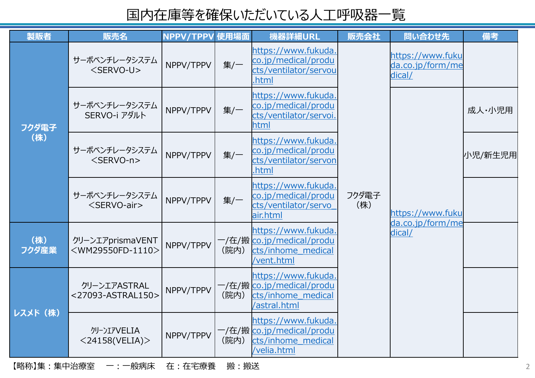| 製販者          | 販売名                                                   | NPPV/TPPV 使用場面 |      | 機器詳細URL                                                                        | 販売会社         | 問い合わせ先                                         | 備考      |
|--------------|-------------------------------------------------------|----------------|------|--------------------------------------------------------------------------------|--------------|------------------------------------------------|---------|
| フクダ電子<br>(株) | サーボベンチレータシステム<br><servo-u></servo-u>                  | NPPV/TPPV      | 集/一  | https://www.fukuda.<br>co.jp/medical/produ<br>cts/ventilator/servou<br>.html   |              | https://www.fuku<br>da.co.jp/form/me<br>dical/ |         |
|              | サーボベンチレータシステム<br>SERVO-i アダルト                         | NPPV/TPPV      | 集/一  | https://www.fukuda.<br>co.jp/medical/produ<br>cts/ventilator/servoi<br>html    |              |                                                | 成人・小児用  |
|              | サーボベンチレータシステム<br>$<$ SERVO-n $>$                      | NPPV/TPPV      | 集/一  | https://www.fukuda.<br>co.jp/medical/produ<br>cts/ventilator/servon<br>.html   |              |                                                | 小児/新生児用 |
|              | サーボベンチレータシステム<br><servo-air></servo-air>              | NPPV/TPPV      | 集/一  | https://www.fukuda.<br>co.jp/medical/produ<br>cts/ventilator/servo<br>air.html | フクダ電子<br>(株) | https://www.fuku                               |         |
| (株)<br>フクダ産業 | クリーンエアprismaVENT<br><wm29550fd-1110></wm29550fd-1110> | NPPV/TPPV      | (院内) | https://www.fukuda<br>cts/inhome medical<br>/vent.html                         |              | da.co.jp/form/me<br>dical/                     |         |
| レスメド (株)     | クリーンエアASTRAL<br><27093-ASTRAL150>                     | NPPV/TPPV      | (院内) | https://www.fukuda.<br>cts/inhome medical<br>/astral.html                      |              |                                                |         |
|              | クリーンIアVELIA<br>$<$ 24158(VELIA) $>$                   | NPPV/TPPV      | (院内) | https://www.fukuda.<br>cts/inhome medical<br>/velia.html                       |              |                                                |         |

【略称】集:集中治療室 一:一般病床 在:在宅療養 搬:搬送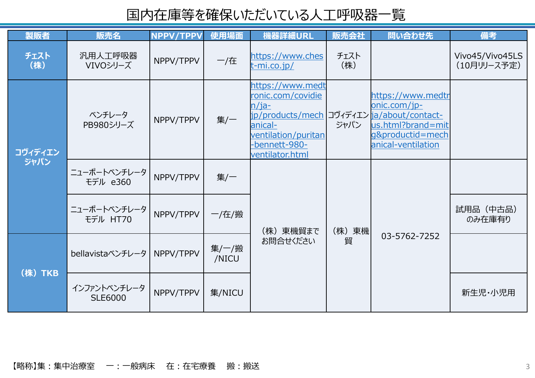| 製販者             | 販売名                            | NPPV/TPPV | 使用場面           | 機器詳細URL                                                                                                                                                               | 販売会社        | 問い合わせ先                                                                                           | 備考                             |
|-----------------|--------------------------------|-----------|----------------|-----------------------------------------------------------------------------------------------------------------------------------------------------------------------|-------------|--------------------------------------------------------------------------------------------------|--------------------------------|
| チェスト<br>(株)     | 汎用人工呼吸器<br>VIVOシリーズ            | NPPV/TPPV | 一/在            | https://www.ches<br>t-mi.co.jp/                                                                                                                                       | チェスト<br>(株) |                                                                                                  | Vivo45/Vivo45LS<br>(10月リリース予定) |
| コヴィディエン<br>ジャパン | ベンチレータ<br>PB980シリーズ            | NPPV/TPPV | 集/一            | https://www.medt<br>ronic.com/covidie<br>$n/$ ja-<br>jp/products/mech コヴィディエン ja/about/contact-<br>anical-<br>ventilation/puritan<br>-bennett-980-<br>ventilator.html | ジャパン        | https://www.medtr<br>onic.com/jp-<br>us.html?brand=mit<br>g&productid=mech<br>anical-ventilation |                                |
|                 | ニューポートベンチレータ<br>モデル e360       | NPPV/TPPV |                |                                                                                                                                                                       |             |                                                                                                  |                                |
|                 | ニューポートベンチレータ<br>モデル HT70       | NPPV/TPPV | 一/在/搬          | (株) 東機貿まで<br>お問合せください                                                                                                                                                 | (株)東機 <br>貿 | 03-5762-7252                                                                                     | 試用品 (中古品)<br>のみ在庫有り            |
| (株) TKB         | bellavistaベンチレータ               | NPPV/TPPV | 集/一/搬<br>/NICU |                                                                                                                                                                       |             |                                                                                                  |                                |
|                 | インファントベンチレータ<br><b>SLE6000</b> | NPPV/TPPV | 集/NICU         |                                                                                                                                                                       |             |                                                                                                  | 新生児·小児用                        |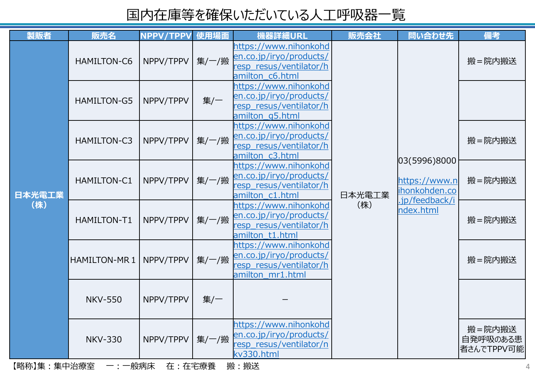| 製販者           | 販売名            | NPPV/TPPV | 使用場面  | 機器詳細URL                                                                                         | 販売会社                                                                          | 問い合わせ先        | 備考                               |
|---------------|----------------|-----------|-------|-------------------------------------------------------------------------------------------------|-------------------------------------------------------------------------------|---------------|----------------------------------|
| 日本光電工業<br>(株) | HAMILTON-C6    | NPPV/TPPV | 集/一/搬 | https://www.nihonkohd<br>en.co.jp/iryo/products/<br>resp resus/ventilator/h<br>amilton_c6.html  |                                                                               |               | 搬=院内搬送                           |
|               | HAMILTON-G5    | NPPV/TPPV | 集/一   | https://www.nihonkohd<br>en.co.jp/iryo/products/<br>resp resus/ventilator/h<br>amilton_g5.html  |                                                                               |               |                                  |
|               | HAMILTON-C3    | NPPV/TPPV | 集/一/搬 | https://www.nihonkohd<br>en.co.jp/iryo/products/<br>resp resus/ventilator/h<br>amilton_c3.html  | 03(5996)8000<br>ihonkohden.co<br>日本光電工業<br>.jp/feedback/i<br>(株)<br>ndex.html |               | 搬=院内搬送                           |
|               | HAMILTON-C1    | NPPV/TPPV | 集/一/搬 | https://www.nihonkohd<br>en.co.jp/iryo/products/<br>resp_resus/ventilator/h<br>amilton c1.html  |                                                                               | https://www.n | 搬=院内搬送                           |
|               | HAMILTON-T1    | NPPV/TPPV | 集/一/搬 | https://www.nihonkohd<br>en.co.jp/iryo/products/<br>resp_resus/ventilator/h<br>amilton t1.html  |                                                                               | 搬=院内搬送        |                                  |
|               | HAMILTON-MR 1  | NPPV/TPPV | 集/一/搬 | https://www.nihonkohd<br>en.co.jp/iryo/products/<br>resp_resus/ventilator/h<br>amilton mr1.html |                                                                               |               | 搬=院内搬送                           |
|               | <b>NKV-550</b> | NPPV/TPPV | 集/一   |                                                                                                 |                                                                               |               |                                  |
|               | <b>NKV-330</b> | NPPV/TPPV | 集/一/搬 | https://www.nihonkohd<br>en.co.jp/iryo/products/<br>resp resus/ventilator/n<br>kv330.html       |                                                                               |               | 搬=院内搬送<br>自発呼吸のある患<br>者さんでTPPV可能 |

【略称】集:集中治療室 一:一般病床 在:在宅療養 搬:搬送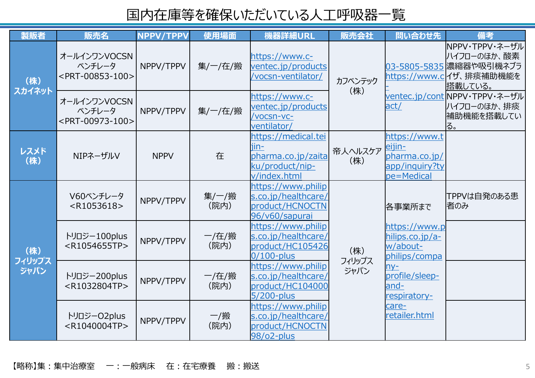| 製販者                   | 販売名                                                       | NPPV/TPPV   | 使用場面           | 機器詳細URL                                                                              | 販売会社           | 問い合わせ先                                                                   | 備考                                                                                              |
|-----------------------|-----------------------------------------------------------|-------------|----------------|--------------------------------------------------------------------------------------|----------------|--------------------------------------------------------------------------|-------------------------------------------------------------------------------------------------|
| (株)<br>スカイネット         | オールインワンVOCSN<br>ベンチレータ<br><prt-00853-100></prt-00853-100> | NPPV/TPPV   | 集/一/在/搬        | https://www.c-<br>ventec.jp/products<br>/vocsn-ventilator/                           | カフベンテック        |                                                                          | NPPV・TPPV・ネーザル<br>ハイフローのほか、酸素<br>03-5805-5835 濃縮器や吸引機ネブラ<br>https://www.c イザ、排痰補助機能を<br>搭載している。 |
|                       | オールインワンVOCSN<br>ベンチレータ<br><prt-00973-100></prt-00973-100> | NPPV/TPPV   | 集/一/在/搬        | https://www.c-<br>ventec.jp/products<br>/vocsn-vc-<br>ventilator/                    | (株)            | act/                                                                     | ventec.jp/cont NPPV・TPPV・ネーザル<br>ハイフローのほか、排痰<br> 補助機能を搭載してい<br>ほ。                               |
| レスメド<br>(株)           | NIPネーザルV                                                  | <b>NPPV</b> | 在              | https://medical.tei<br>iin-<br>pharma.co.jp/zaita<br>ku/product/nip-<br>v/index.html | 帝人ヘルスケア<br>(株) | https://www.t<br>eijin-<br>pharma.co.jp/<br>app/inquiry?ty<br>pe=Medical |                                                                                                 |
| (株)<br>フィリップス<br>ジャパン | V60ベンチレータ<br>$<$ R1053618>                                | NPPV/TPPV   | 集/一/搬<br>(院内)  | https://www.philip<br>s.co.jp/healthcare/<br>product/HCNOCTN<br>96/v60/sapurai       |                | 恪事業所まで                                                                   | TPPVは自発のある患<br>诸のみ                                                                              |
|                       | トリロジー100plus<br><r1054655tp></r1054655tp>                 | NPPV/TPPV   | 一/在/搬<br>(院内)  | https://www.philip<br>s.co.jp/healthcare/<br>product/HC105426<br>$0/100$ -plus       | (株)            | https://www.p<br>hilips.co.jp/a-<br>w/about-<br>philips/compa            |                                                                                                 |
|                       | トリロジー200plus<br><r1032804tp></r1032804tp>                 | NPPV/TPPV   | 一/在/搬<br>(院内)  | https://www.philip<br>s.co.jp/healthcare/<br>product/HC104000<br>5/200-plus          | フィリップス<br>ジャパン | $ny-$<br>profile/sleep-<br>and-<br>respiratory-                          |                                                                                                 |
|                       | トリロジーO2plus<br><r1040004tp></r1040004tp>                  | NPPV/TPPV   | $-$ /搬<br>(院内) | https://www.philip<br>s.co.jp/healthcare/<br>product/HCNOCTN<br>98/o2-plus           |                | care-<br>retailer.html                                                   |                                                                                                 |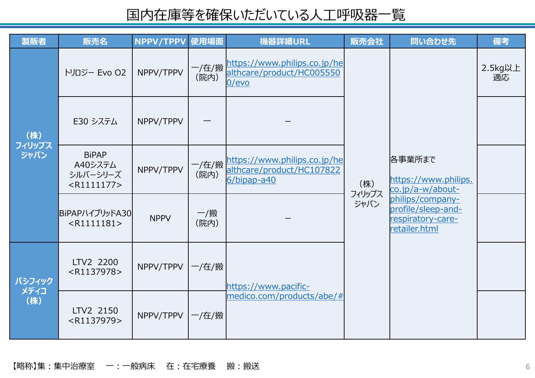| 製販者                   | 販売名                                                  | NPPV/TPPV   | 使用場面        | 機器詳細URL                                  | 販売会社           | 問い合わせ先                                                                                                                             | 備考            |
|-----------------------|------------------------------------------------------|-------------|-------------|------------------------------------------|----------------|------------------------------------------------------------------------------------------------------------------------------------|---------------|
| (株)<br>フィリップス<br>ジャパン | トリロジー Evo 02                                         | NPPV/TPPV   | (院内)        | althcare/product/HC005550<br>$0$ /evo    |                |                                                                                                                                    | 2.5kg以上<br>適応 |
|                       | E30 システム                                             | NPPV/TPPV   |             |                                          |                | 各事業所まで<br>https://www.philips.<br>co.jp/a-w/about-<br>philips/company-<br>profile/sleep-and-<br>respiratory-care-<br>retailer.html |               |
|                       | <b>BiPAP</b><br>A40システム<br>シルバーシリーズ<br>$<$ R1111177> | NPPV/TPPV   | (院内)        | althcare/product/HC107822<br>6/bipap-a40 | (株)            |                                                                                                                                    |               |
|                       | BiPAPハイブリッドA30<br>$<$ R1111181>                      | <b>NPPV</b> | 一/搬<br>(院内) |                                          | フィリップス<br>ジャパン |                                                                                                                                    |               |
| パシフィック<br>メディコ<br>(株) | LTV2 2200<br><r1137978></r1137978>                   | NPPV/TPPV   | 一/在/搬       | https://www.pacific-                     |                |                                                                                                                                    |               |
|                       | LTV2 2150<br><r1137979></r1137979>                   | NPPV/TPPV   | 一/在/搬       | medico.com/products/abe/#                |                |                                                                                                                                    |               |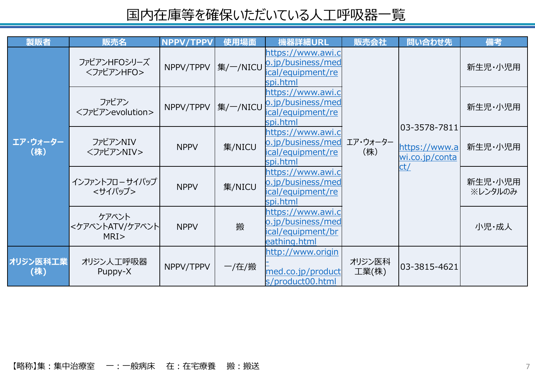| 製販者             | 販売名                              | <b>NPPV/TPPV</b> | 使用場面     | 機器詳細URL                                                                     | 販売会社            | 問い合わせ先                                                         | 備考                 |
|-----------------|----------------------------------|------------------|----------|-----------------------------------------------------------------------------|-----------------|----------------------------------------------------------------|--------------------|
| エア・ウォーター<br>(株) | ファビアンHFOシリーズ<br><ファビアンHFO>       | NPPV/TPPV        | 集/一/NICU | https://www.awi.c<br>o.jp/business/med<br>ical/equipment/re<br>spi.html     |                 |                                                                | 新生児·小児用            |
|                 | ファビアン<br><ファビアンevolution>        | NPPV/TPPV        | 集/一/NICU | https://www.awi.c<br>o.jp/business/med<br>ical/equipment/re<br>spi.html     | エア・ウォーター<br>(株) | $ 03 - 3578 - 7811 $<br>https://www.a<br>wi.co.jp/conta<br>ct/ | 新生児·小児用            |
|                 | ファビアンNIV<br><ファビアンNIV>           | <b>NPPV</b>      | 集/NICU   | https://www.awi.c<br>o.jp/business/med<br>ical/equipment/re<br>spi.html     |                 |                                                                | 新生児·小児用            |
|                 | インファントフローサイパップ<br><サイパップ>        | <b>NPPV</b>      | 集/NICU   | https://www.awi.c<br>o.jp/business/med<br>ical/equipment/re<br>spi.html     |                 |                                                                | 新生児·小児用<br>※レンタルのみ |
|                 | ケアベント<br><ケアベントATV/ケアベント <br>MRI | <b>NPPV</b>      | 搬        | https://www.awi.c<br>o.jp/business/med<br>ical/equipment/br<br>eathing.html |                 |                                                                | 小児・成人              |
| オリジン医科工業<br>(株) | オリジン人工呼吸器<br>Puppy-X             | NPPV/TPPV        | 一/在/搬    | http://www.origin<br>med.co.jp/product<br>s/product00.html                  | オリジン医科<br>工業(株) | 03-3815-4621                                                   |                    |